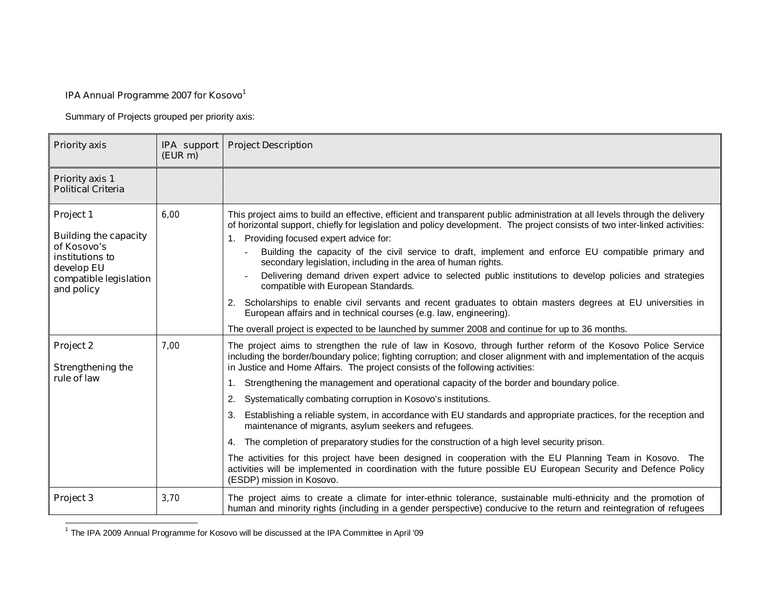## **IPA Annual Programme 2007 for Kosovo**<sup>1</sup>

Summary of Projects grouped per priority axis:

| <b>Priority axis</b>                                                                                                              | IPA support<br>(EUR m) | <b>Project Description</b>                                                                                                                                                                                                                                                                                                                                                                                                                                                                                                                                                                                                                                                                                                                                                                                                                                                                                                                                                                                                                           |
|-----------------------------------------------------------------------------------------------------------------------------------|------------------------|------------------------------------------------------------------------------------------------------------------------------------------------------------------------------------------------------------------------------------------------------------------------------------------------------------------------------------------------------------------------------------------------------------------------------------------------------------------------------------------------------------------------------------------------------------------------------------------------------------------------------------------------------------------------------------------------------------------------------------------------------------------------------------------------------------------------------------------------------------------------------------------------------------------------------------------------------------------------------------------------------------------------------------------------------|
| <b>Priority axis 1</b><br><b>Political Criteria</b>                                                                               |                        |                                                                                                                                                                                                                                                                                                                                                                                                                                                                                                                                                                                                                                                                                                                                                                                                                                                                                                                                                                                                                                                      |
| Project 1<br><b>Building the capacity</b><br>of Kosovo's<br>institutions to<br>develop EU<br>compatible legislation<br>and policy | 6.00                   | This project aims to build an effective, efficient and transparent public administration at all levels through the delivery<br>of horizontal support, chiefly for legislation and policy development. The project consists of two inter-linked activities:<br>Providing focused expert advice for:<br>1.<br>Building the capacity of the civil service to draft, implement and enforce EU compatible primary and<br>secondary legislation, including in the area of human rights.<br>Delivering demand driven expert advice to selected public institutions to develop policies and strategies<br>compatible with European Standards.<br>Scholarships to enable civil servants and recent graduates to obtain masters degrees at EU universities in<br>2.<br>European affairs and in technical courses (e.g. law, engineering).<br>The overall project is expected to be launched by summer 2008 and continue for up to 36 months.                                                                                                                   |
| Project 2<br><b>Strengthening the</b><br>rule of law                                                                              | 7,00                   | The project aims to strengthen the rule of law in Kosovo, through further reform of the Kosovo Police Service<br>including the border/boundary police; fighting corruption; and closer alignment with and implementation of the acquis<br>in Justice and Home Affairs. The project consists of the following activities:<br>1. Strengthening the management and operational capacity of the border and boundary police.<br>2.<br>Systematically combating corruption in Kosovo's institutions.<br>Establishing a reliable system, in accordance with EU standards and appropriate practices, for the reception and<br>3.<br>maintenance of migrants, asylum seekers and refugees.<br>The completion of preparatory studies for the construction of a high level security prison.<br>4.<br>The activities for this project have been designed in cooperation with the EU Planning Team in Kosovo. The<br>activities will be implemented in coordination with the future possible EU European Security and Defence Policy<br>(ESDP) mission in Kosovo. |
| Project 3                                                                                                                         | 3,70                   | The project aims to create a climate for inter-ethnic tolerance, sustainable multi-ethnicity and the promotion of<br>human and minority rights (including in a gender perspective) conducive to the return and reintegration of refugees                                                                                                                                                                                                                                                                                                                                                                                                                                                                                                                                                                                                                                                                                                                                                                                                             |

 1 The IPA 2009 Annual Programme for Kosovo will be discussed at the IPA Committee in April '09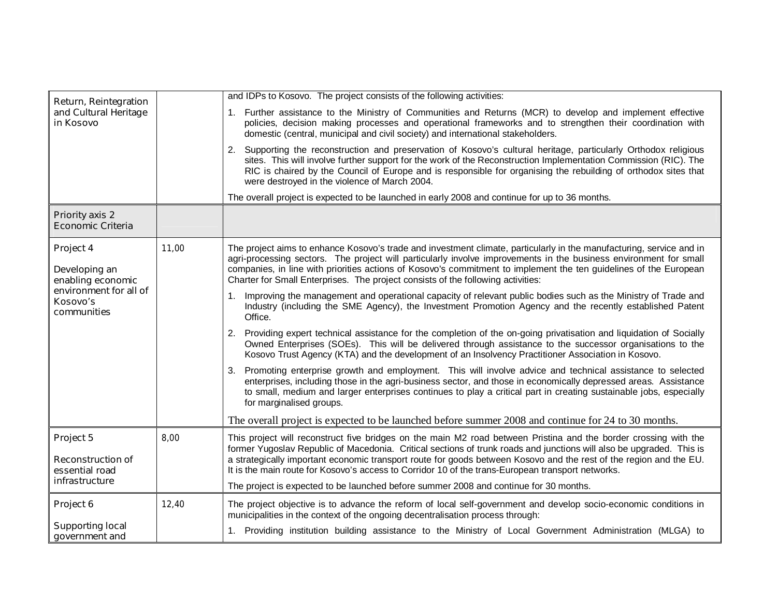| <b>Return, Reintegration</b><br>and Cultural Heritage<br>in Kosovo                                   |       | and IDPs to Kosovo. The project consists of the following activities:                                                                                                                                                                                                                                                                                                                                                                              |
|------------------------------------------------------------------------------------------------------|-------|----------------------------------------------------------------------------------------------------------------------------------------------------------------------------------------------------------------------------------------------------------------------------------------------------------------------------------------------------------------------------------------------------------------------------------------------------|
|                                                                                                      |       | 1. Further assistance to the Ministry of Communities and Returns (MCR) to develop and implement effective<br>policies, decision making processes and operational frameworks and to strengthen their coordination with<br>domestic (central, municipal and civil society) and international stakeholders.                                                                                                                                           |
|                                                                                                      |       | 2. Supporting the reconstruction and preservation of Kosovo's cultural heritage, particularly Orthodox religious<br>sites. This will involve further support for the work of the Reconstruction Implementation Commission (RIC). The<br>RIC is chaired by the Council of Europe and is responsible for organising the rebuilding of orthodox sites that<br>were destroyed in the violence of March 2004.                                           |
|                                                                                                      |       | The overall project is expected to be launched in early 2008 and continue for up to 36 months.                                                                                                                                                                                                                                                                                                                                                     |
| <b>Priority axis 2</b><br><b>Economic Criteria</b>                                                   |       |                                                                                                                                                                                                                                                                                                                                                                                                                                                    |
| Project 4<br>Developing an<br>enabling economic<br>environment for all of<br>Kosovo's<br>communities | 11,00 | The project aims to enhance Kosovo's trade and investment climate, particularly in the manufacturing, service and in<br>agri-processing sectors. The project will particularly involve improvements in the business environment for small<br>companies, in line with priorities actions of Kosovo's commitment to implement the ten guidelines of the European<br>Charter for Small Enterprises. The project consists of the following activities: |
|                                                                                                      |       | Improving the management and operational capacity of relevant public bodies such as the Ministry of Trade and<br>1.<br>Industry (including the SME Agency), the Investment Promotion Agency and the recently established Patent<br>Office.                                                                                                                                                                                                         |
|                                                                                                      |       | Providing expert technical assistance for the completion of the on-going privatisation and liquidation of Socially<br>2.<br>Owned Enterprises (SOEs). This will be delivered through assistance to the successor organisations to the<br>Kosovo Trust Agency (KTA) and the development of an Insolvency Practitioner Association in Kosovo.                                                                                                        |
|                                                                                                      |       | Promoting enterprise growth and employment. This will involve advice and technical assistance to selected<br>3.<br>enterprises, including those in the agri-business sector, and those in economically depressed areas. Assistance<br>to small, medium and larger enterprises continues to play a critical part in creating sustainable jobs, especially<br>for marginalised groups.                                                               |
|                                                                                                      |       | The overall project is expected to be launched before summer 2008 and continue for 24 to 30 months.                                                                                                                                                                                                                                                                                                                                                |
| Project 5                                                                                            | 8,00  | This project will reconstruct five bridges on the main M2 road between Pristina and the border crossing with the<br>former Yugoslav Republic of Macedonia. Critical sections of trunk roads and junctions will also be upgraded. This is                                                                                                                                                                                                           |
| <b>Reconstruction of</b><br>essential road<br>infrastructure                                         |       | a strategically important economic transport route for goods between Kosovo and the rest of the region and the EU.<br>It is the main route for Kosovo's access to Corridor 10 of the trans-European transport networks.                                                                                                                                                                                                                            |
|                                                                                                      |       | The project is expected to be launched before summer 2008 and continue for 30 months.                                                                                                                                                                                                                                                                                                                                                              |
| Project 6                                                                                            | 12,40 | The project objective is to advance the reform of local self-government and develop socio-economic conditions in<br>municipalities in the context of the ongoing decentralisation process through:                                                                                                                                                                                                                                                 |
| <b>Supporting local</b><br>government and                                                            |       | 1. Providing institution building assistance to the Ministry of Local Government Administration (MLGA) to                                                                                                                                                                                                                                                                                                                                          |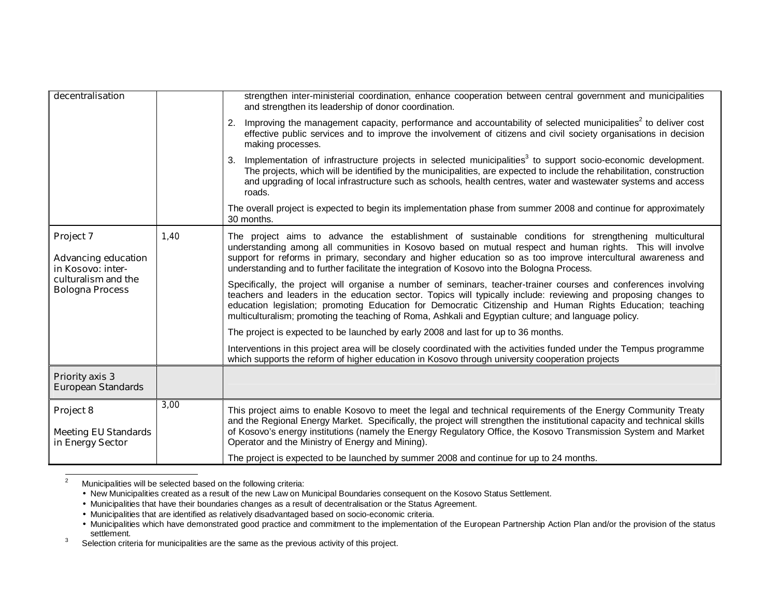| decentralisation                                                                                              |      | strengthen inter-ministerial coordination, enhance cooperation between central government and municipalities<br>and strengthen its leadership of donor coordination.                                                                                                                                                                                                                                                                                                                                                                                                                                                                                                                                                                                                                                                                                                                            |
|---------------------------------------------------------------------------------------------------------------|------|-------------------------------------------------------------------------------------------------------------------------------------------------------------------------------------------------------------------------------------------------------------------------------------------------------------------------------------------------------------------------------------------------------------------------------------------------------------------------------------------------------------------------------------------------------------------------------------------------------------------------------------------------------------------------------------------------------------------------------------------------------------------------------------------------------------------------------------------------------------------------------------------------|
|                                                                                                               |      | Improving the management capacity, performance and accountability of selected municipalities <sup>2</sup> to deliver cost<br>2.<br>effective public services and to improve the involvement of citizens and civil society organisations in decision<br>making processes.                                                                                                                                                                                                                                                                                                                                                                                                                                                                                                                                                                                                                        |
|                                                                                                               |      | Implementation of infrastructure projects in selected municipalities <sup>3</sup> to support socio-economic development.<br>The projects, which will be identified by the municipalities, are expected to include the rehabilitation, construction<br>and upgrading of local infrastructure such as schools, health centres, water and wastewater systems and access<br>roads.                                                                                                                                                                                                                                                                                                                                                                                                                                                                                                                  |
|                                                                                                               |      | The overall project is expected to begin its implementation phase from summer 2008 and continue for approximately<br>30 months.                                                                                                                                                                                                                                                                                                                                                                                                                                                                                                                                                                                                                                                                                                                                                                 |
| Project 7<br><b>Advancing education</b><br>in Kosovo: inter-<br>culturalism and the<br><b>Bologna Process</b> | 1,40 | The project aims to advance the establishment of sustainable conditions for strengthening multicultural<br>understanding among all communities in Kosovo based on mutual respect and human rights. This will involve<br>support for reforms in primary, secondary and higher education so as too improve intercultural awareness and<br>understanding and to further facilitate the integration of Kosovo into the Bologna Process.<br>Specifically, the project will organise a number of seminars, teacher-trainer courses and conferences involving<br>teachers and leaders in the education sector. Topics will typically include: reviewing and proposing changes to<br>education legislation; promoting Education for Democratic Citizenship and Human Rights Education; teaching<br>multiculturalism; promoting the teaching of Roma, Ashkali and Egyptian culture; and language policy. |
|                                                                                                               |      | The project is expected to be launched by early 2008 and last for up to 36 months.                                                                                                                                                                                                                                                                                                                                                                                                                                                                                                                                                                                                                                                                                                                                                                                                              |
|                                                                                                               |      | Interventions in this project area will be closely coordinated with the activities funded under the Tempus programme<br>which supports the reform of higher education in Kosovo through university cooperation projects                                                                                                                                                                                                                                                                                                                                                                                                                                                                                                                                                                                                                                                                         |
| <b>Priority axis 3</b><br><b>European Standards</b>                                                           |      |                                                                                                                                                                                                                                                                                                                                                                                                                                                                                                                                                                                                                                                                                                                                                                                                                                                                                                 |
| Project 8<br><b>Meeting EU Standards</b><br>in Energy Sector                                                  | 3,00 | This project aims to enable Kosovo to meet the legal and technical requirements of the Energy Community Treaty<br>and the Regional Energy Market. Specifically, the project will strengthen the institutional capacity and technical skills<br>of Kosovo's energy institutions (namely the Energy Regulatory Office, the Kosovo Transmission System and Market<br>Operator and the Ministry of Energy and Mining).                                                                                                                                                                                                                                                                                                                                                                                                                                                                              |
|                                                                                                               |      | The project is expected to be launched by summer 2008 and continue for up to 24 months.                                                                                                                                                                                                                                                                                                                                                                                                                                                                                                                                                                                                                                                                                                                                                                                                         |

2<br>2 Municipalities will be selected based on the following criteria:

• New Municipalities created as a result of the new Law on Municipal Boundaries consequent on the Kosovo Status Settlement.

• Municipalities that have their boundaries changes as a result of decentralisation or the Status Agreement.

• Municipalities that are identified as relatively disadvantaged based on socio-economic criteria.

• Municipalities which have demonstrated good practice and commitment to the implementation of the European Partnership Action Plan and/or the provision of the status

settlement.<br><sup>3</sup> Selection criteria for municipalities are the same as the previous activity of this project.